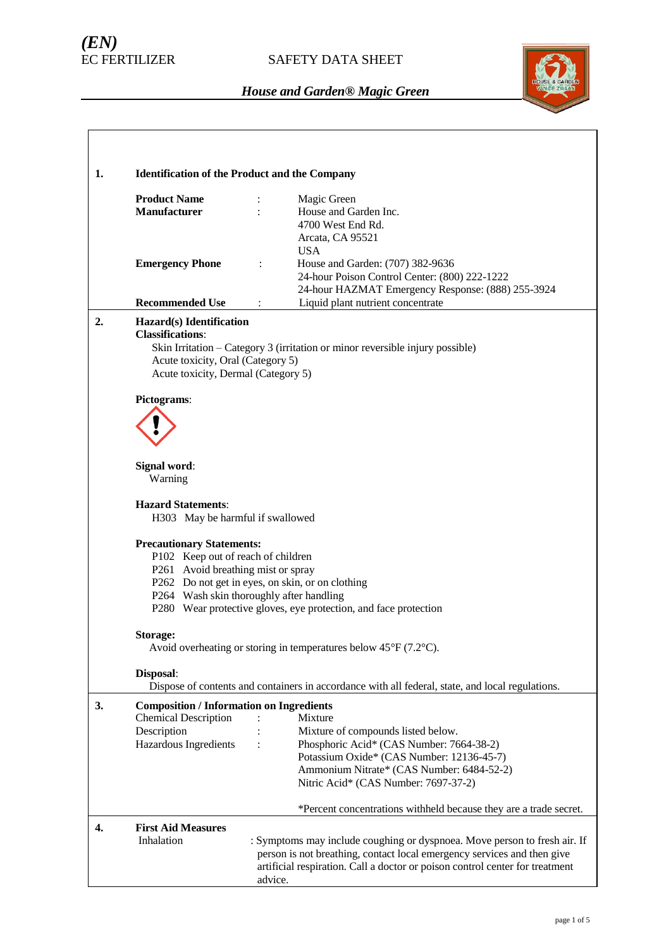# *(EN)*

### SAFETY DATA SHEET



| 1. |                                                                                                                                                                                      | <b>Identification of the Product and the Company</b>                                                                                                                                                                                            |  |  |  |
|----|--------------------------------------------------------------------------------------------------------------------------------------------------------------------------------------|-------------------------------------------------------------------------------------------------------------------------------------------------------------------------------------------------------------------------------------------------|--|--|--|
|    | <b>Product Name</b><br><b>Manufacturer</b>                                                                                                                                           | Magic Green<br>÷<br>House and Garden Inc.<br>4700 West End Rd.<br>Arcata, CA 95521                                                                                                                                                              |  |  |  |
|    | <b>Emergency Phone</b><br><b>Recommended Use</b>                                                                                                                                     | <b>USA</b><br>House and Garden: (707) 382-9636<br>$\ddot{\cdot}$<br>24-hour Poison Control Center: (800) 222-1222<br>24-hour HAZMAT Emergency Response: (888) 255-3924<br>Liquid plant nutrient concentrate<br>$\ddot{\cdot}$                   |  |  |  |
| 2. | Hazard(s) Identification                                                                                                                                                             |                                                                                                                                                                                                                                                 |  |  |  |
|    | <b>Classifications:</b><br>Skin Irritation - Category 3 (irritation or minor reversible injury possible)<br>Acute toxicity, Oral (Category 5)<br>Acute toxicity, Dermal (Category 5) |                                                                                                                                                                                                                                                 |  |  |  |
|    | Pictograms:                                                                                                                                                                          |                                                                                                                                                                                                                                                 |  |  |  |
|    |                                                                                                                                                                                      |                                                                                                                                                                                                                                                 |  |  |  |
|    | Signal word:<br>Warning                                                                                                                                                              |                                                                                                                                                                                                                                                 |  |  |  |
|    | <b>Hazard Statements:</b><br>H303 May be harmful if swallowed                                                                                                                        |                                                                                                                                                                                                                                                 |  |  |  |
|    | <b>Precautionary Statements:</b><br>P102 Keep out of reach of children<br>P261 Avoid breathing mist or spray                                                                         | P262 Do not get in eyes, on skin, or on clothing<br>P264 Wash skin thoroughly after handling<br>P280 Wear protective gloves, eye protection, and face protection                                                                                |  |  |  |
|    | Storage:                                                                                                                                                                             | Avoid overheating or storing in temperatures below $45^{\circ}F(7.2^{\circ}C)$ .                                                                                                                                                                |  |  |  |
|    | Disposal:                                                                                                                                                                            | Dispose of contents and containers in accordance with all federal, state, and local regulations.                                                                                                                                                |  |  |  |
| 3. | <b>Composition / Information on Ingredients</b><br><b>Chemical Description</b><br>Description<br>Hazardous Ingredients                                                               | Mixture<br>Mixture of compounds listed below.<br>Phosphoric Acid* (CAS Number: 7664-38-2)<br>$\ddot{\cdot}$<br>Potassium Oxide* (CAS Number: 12136-45-7)<br>Ammonium Nitrate* (CAS Number: 6484-52-2)<br>Nitric Acid* (CAS Number: 7697-37-2)   |  |  |  |
|    |                                                                                                                                                                                      | *Percent concentrations withheld because they are a trade secret.                                                                                                                                                                               |  |  |  |
| 4. | <b>First Aid Measures</b><br>Inhalation                                                                                                                                              | : Symptoms may include coughing or dyspnoea. Move person to fresh air. If<br>person is not breathing, contact local emergency services and then give<br>artificial respiration. Call a doctor or poison control center for treatment<br>advice. |  |  |  |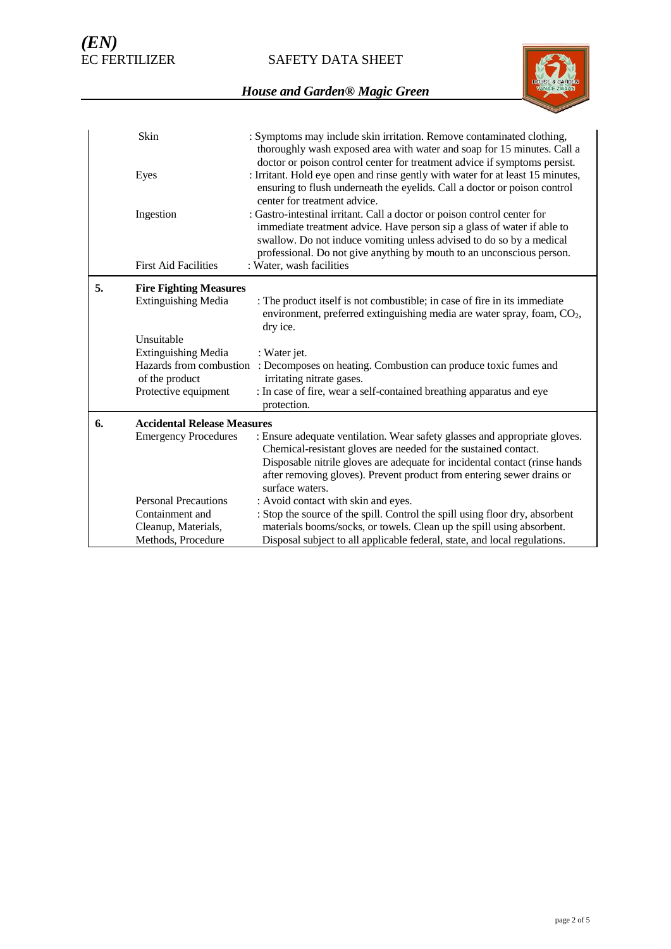SAFETY DATA SHEET



|    | Skin                                                                    | : Symptoms may include skin irritation. Remove contaminated clothing,<br>thoroughly wash exposed area with water and soap for 15 minutes. Call a<br>doctor or poison control center for treatment advice if symptoms persist.                                                                        |
|----|-------------------------------------------------------------------------|------------------------------------------------------------------------------------------------------------------------------------------------------------------------------------------------------------------------------------------------------------------------------------------------------|
|    | Eyes                                                                    | : Irritant. Hold eye open and rinse gently with water for at least 15 minutes,<br>ensuring to flush underneath the eyelids. Call a doctor or poison control<br>center for treatment advice.                                                                                                          |
|    | Ingestion                                                               | : Gastro-intestinal irritant. Call a doctor or poison control center for<br>immediate treatment advice. Have person sip a glass of water if able to<br>swallow. Do not induce vomiting unless advised to do so by a medical<br>professional. Do not give anything by mouth to an unconscious person. |
|    | <b>First Aid Facilities</b>                                             | : Water, wash facilities                                                                                                                                                                                                                                                                             |
| 5. | <b>Fire Fighting Measures</b>                                           |                                                                                                                                                                                                                                                                                                      |
|    | <b>Extinguishing Media</b>                                              | : The product itself is not combustible; in case of fire in its immediate<br>environment, preferred extinguishing media are water spray, foam, $CO2$ ,<br>dry ice.                                                                                                                                   |
|    | Unsuitable                                                              |                                                                                                                                                                                                                                                                                                      |
|    | <b>Extinguishing Media</b><br>Hazards from combustion<br>of the product | : Water jet.<br>: Decomposes on heating. Combustion can produce toxic fumes and<br>irritating nitrate gases.                                                                                                                                                                                         |
|    | Protective equipment                                                    | : In case of fire, wear a self-contained breathing apparatus and eye<br>protection.                                                                                                                                                                                                                  |
| 6. | <b>Accidental Release Measures</b>                                      |                                                                                                                                                                                                                                                                                                      |
|    | <b>Emergency Procedures</b>                                             | : Ensure adequate ventilation. Wear safety glasses and appropriate gloves.<br>Chemical-resistant gloves are needed for the sustained contact.<br>Disposable nitrile gloves are adequate for incidental contact (rinse hands<br>after removing gloves). Prevent product from entering sewer drains or |
|    | <b>Personal Precautions</b>                                             | surface waters.<br>: Avoid contact with skin and eyes.                                                                                                                                                                                                                                               |
|    | Containment and                                                         | : Stop the source of the spill. Control the spill using floor dry, absorbent                                                                                                                                                                                                                         |
|    | Cleanup, Materials,                                                     | materials booms/socks, or towels. Clean up the spill using absorbent.                                                                                                                                                                                                                                |
|    | Methods, Procedure                                                      | Disposal subject to all applicable federal, state, and local regulations.                                                                                                                                                                                                                            |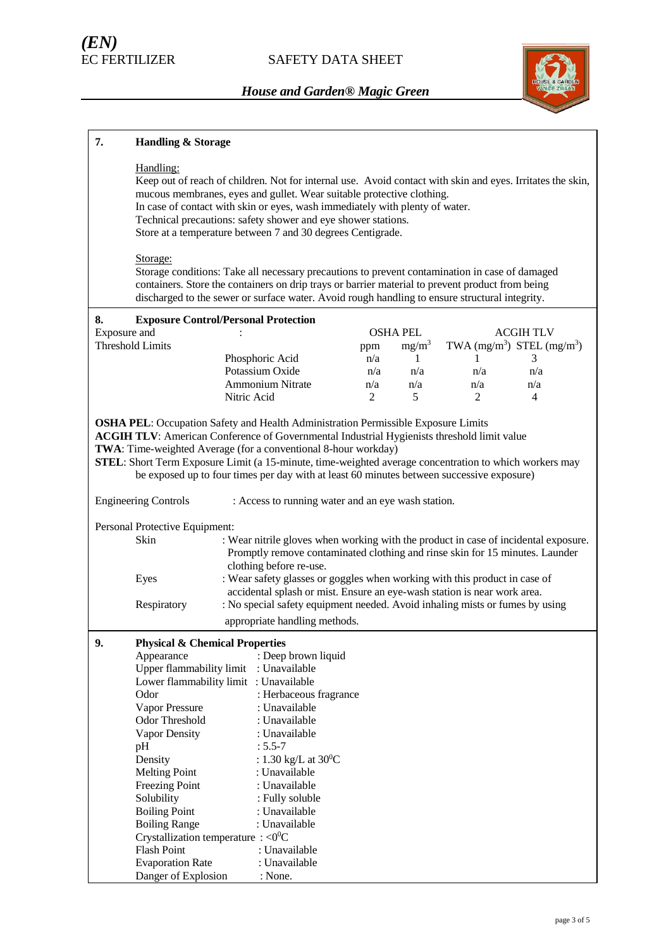

| 7.           | <b>Handling &amp; Storage</b>                                                                                                                                                                                                                                                                                                                                                                                                                                   |                                                                                                                                                                                                |     |                   |                                |                  |
|--------------|-----------------------------------------------------------------------------------------------------------------------------------------------------------------------------------------------------------------------------------------------------------------------------------------------------------------------------------------------------------------------------------------------------------------------------------------------------------------|------------------------------------------------------------------------------------------------------------------------------------------------------------------------------------------------|-----|-------------------|--------------------------------|------------------|
|              | Handling:<br>Keep out of reach of children. Not for internal use. Avoid contact with skin and eyes. Irritates the skin,<br>mucous membranes, eyes and gullet. Wear suitable protective clothing.<br>In case of contact with skin or eyes, wash immediately with plenty of water.<br>Technical precautions: safety shower and eye shower stations.<br>Store at a temperature between 7 and 30 degrees Centigrade.<br>Storage:                                    |                                                                                                                                                                                                |     |                   |                                |                  |
|              | Storage conditions: Take all necessary precautions to prevent contamination in case of damaged<br>containers. Store the containers on drip trays or barrier material to prevent product from being<br>discharged to the sewer or surface water. Avoid rough handling to ensure structural integrity.                                                                                                                                                            |                                                                                                                                                                                                |     |                   |                                |                  |
| 8.           | <b>Exposure Control/Personal Protection</b>                                                                                                                                                                                                                                                                                                                                                                                                                     |                                                                                                                                                                                                |     |                   |                                |                  |
| Exposure and |                                                                                                                                                                                                                                                                                                                                                                                                                                                                 |                                                                                                                                                                                                |     | <b>OSHA PEL</b>   |                                | <b>ACGIH TLV</b> |
|              | <b>Threshold Limits</b>                                                                                                                                                                                                                                                                                                                                                                                                                                         |                                                                                                                                                                                                | ppm | mg/m <sup>3</sup> | TWA $(mg/m^3)$ STEL $(mg/m^3)$ |                  |
|              |                                                                                                                                                                                                                                                                                                                                                                                                                                                                 | Phosphoric Acid                                                                                                                                                                                | n/a | $\mathbf{1}$      | 1                              | 3                |
|              |                                                                                                                                                                                                                                                                                                                                                                                                                                                                 | Potassium Oxide                                                                                                                                                                                | n/a | n/a               | n/a                            | n/a              |
|              |                                                                                                                                                                                                                                                                                                                                                                                                                                                                 | Ammonium Nitrate                                                                                                                                                                               | n/a | n/a               | n/a                            | n/a              |
|              |                                                                                                                                                                                                                                                                                                                                                                                                                                                                 | Nitric Acid                                                                                                                                                                                    | 2   | 5                 | 2                              | 4                |
|              | OSHA PEL: Occupation Safety and Health Administration Permissible Exposure Limits<br><b>ACGIH TLV:</b> American Conference of Governmental Industrial Hygienists threshold limit value<br>TWA: Time-weighted Average (for a conventional 8-hour workday)<br>STEL: Short Term Exposure Limit (a 15-minute, time-weighted average concentration to which workers may<br>be exposed up to four times per day with at least 60 minutes between successive exposure) |                                                                                                                                                                                                |     |                   |                                |                  |
|              | <b>Engineering Controls</b>                                                                                                                                                                                                                                                                                                                                                                                                                                     | : Access to running water and an eye wash station.                                                                                                                                             |     |                   |                                |                  |
|              | Personal Protective Equipment:<br>Skin                                                                                                                                                                                                                                                                                                                                                                                                                          | : Wear nitrile gloves when working with the product in case of incidental exposure.<br>Promptly remove contaminated clothing and rinse skin for 15 minutes. Launder<br>clothing before re-use. |     |                   |                                |                  |
|              | Eyes                                                                                                                                                                                                                                                                                                                                                                                                                                                            | : Wear safety glasses or goggles when working with this product in case of<br>accidental splash or mist. Ensure an eye-wash station is near work area.                                         |     |                   |                                |                  |
|              | Respiratory                                                                                                                                                                                                                                                                                                                                                                                                                                                     | : No special safety equipment needed. Avoid inhaling mists or fumes by using                                                                                                                   |     |                   |                                |                  |
|              |                                                                                                                                                                                                                                                                                                                                                                                                                                                                 | appropriate handling methods.                                                                                                                                                                  |     |                   |                                |                  |
| 9.           | <b>Physical &amp; Chemical Properties</b>                                                                                                                                                                                                                                                                                                                                                                                                                       |                                                                                                                                                                                                |     |                   |                                |                  |
|              | Appearance                                                                                                                                                                                                                                                                                                                                                                                                                                                      | : Deep brown liquid                                                                                                                                                                            |     |                   |                                |                  |
|              | Upper flammability limit                                                                                                                                                                                                                                                                                                                                                                                                                                        | : Unavailable                                                                                                                                                                                  |     |                   |                                |                  |
|              | Lower flammability limit : Unavailable                                                                                                                                                                                                                                                                                                                                                                                                                          |                                                                                                                                                                                                |     |                   |                                |                  |
|              | Odor                                                                                                                                                                                                                                                                                                                                                                                                                                                            | : Herbaceous fragrance                                                                                                                                                                         |     |                   |                                |                  |
|              | Vapor Pressure                                                                                                                                                                                                                                                                                                                                                                                                                                                  | : Unavailable                                                                                                                                                                                  |     |                   |                                |                  |
|              | Odor Threshold                                                                                                                                                                                                                                                                                                                                                                                                                                                  | : Unavailable                                                                                                                                                                                  |     |                   |                                |                  |
|              | Vapor Density                                                                                                                                                                                                                                                                                                                                                                                                                                                   | : Unavailable                                                                                                                                                                                  |     |                   |                                |                  |
|              | pH                                                                                                                                                                                                                                                                                                                                                                                                                                                              | $: 5.5 - 7$                                                                                                                                                                                    |     |                   |                                |                  |
|              | Density                                                                                                                                                                                                                                                                                                                                                                                                                                                         | : 1.30 kg/L at $30^{\circ}$ C                                                                                                                                                                  |     |                   |                                |                  |
|              | <b>Melting Point</b>                                                                                                                                                                                                                                                                                                                                                                                                                                            | : Unavailable                                                                                                                                                                                  |     |                   |                                |                  |
|              | <b>Freezing Point</b>                                                                                                                                                                                                                                                                                                                                                                                                                                           | : Unavailable                                                                                                                                                                                  |     |                   |                                |                  |
|              | Solubility                                                                                                                                                                                                                                                                                                                                                                                                                                                      | : Fully soluble                                                                                                                                                                                |     |                   |                                |                  |
|              | <b>Boiling Point</b>                                                                                                                                                                                                                                                                                                                                                                                                                                            | : Unavailable                                                                                                                                                                                  |     |                   |                                |                  |
|              | <b>Boiling Range</b>                                                                                                                                                                                                                                                                                                                                                                                                                                            | : Unavailable                                                                                                                                                                                  |     |                   |                                |                  |
|              | Crystallization temperature : $<0$ <sup>o</sup> C                                                                                                                                                                                                                                                                                                                                                                                                               |                                                                                                                                                                                                |     |                   |                                |                  |
|              | <b>Flash Point</b>                                                                                                                                                                                                                                                                                                                                                                                                                                              | : Unavailable                                                                                                                                                                                  |     |                   |                                |                  |
|              | <b>Evaporation Rate</b>                                                                                                                                                                                                                                                                                                                                                                                                                                         | : Unavailable                                                                                                                                                                                  |     |                   |                                |                  |
|              | Danger of Explosion                                                                                                                                                                                                                                                                                                                                                                                                                                             | : None.                                                                                                                                                                                        |     |                   |                                |                  |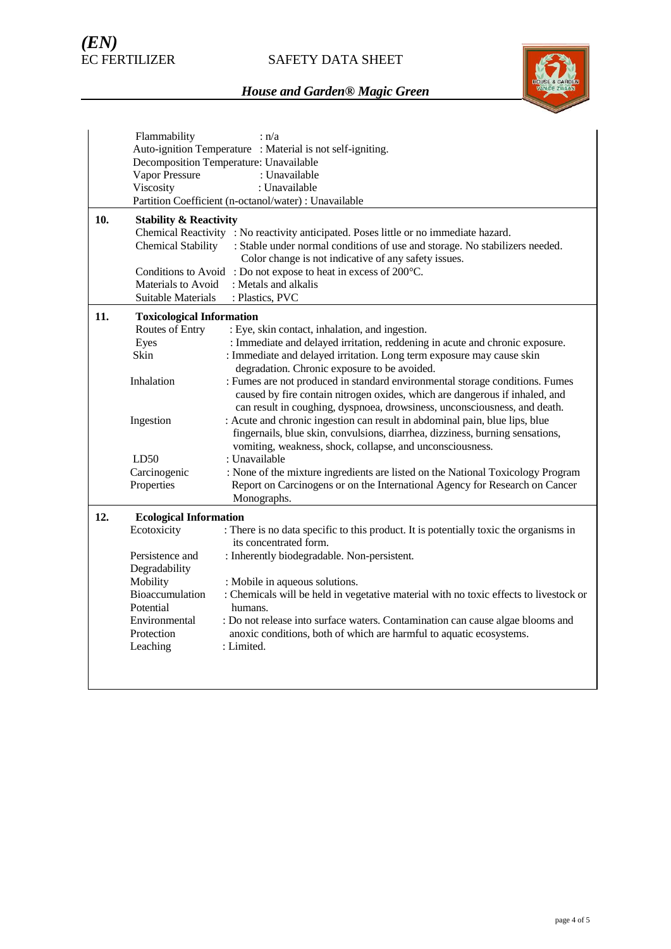

|     | Flammability                                               | : n/a                                                                                                                               |  |  |  |
|-----|------------------------------------------------------------|-------------------------------------------------------------------------------------------------------------------------------------|--|--|--|
|     | Auto-ignition Temperature : Material is not self-igniting. |                                                                                                                                     |  |  |  |
|     | Decomposition Temperature: Unavailable                     |                                                                                                                                     |  |  |  |
|     | Vapor Pressure                                             | : Unavailable                                                                                                                       |  |  |  |
|     | Viscosity                                                  | : Unavailable                                                                                                                       |  |  |  |
|     |                                                            | Partition Coefficient (n-octanol/water) : Unavailable                                                                               |  |  |  |
| 10. | <b>Stability &amp; Reactivity</b>                          | Chemical Reactivity : No reactivity anticipated. Poses little or no immediate hazard.                                               |  |  |  |
|     | <b>Chemical Stability</b>                                  | : Stable under normal conditions of use and storage. No stabilizers needed.<br>Color change is not indicative of any safety issues. |  |  |  |
|     |                                                            | Conditions to Avoid: Do not expose to heat in excess of 200°C.                                                                      |  |  |  |
|     | Materials to Avoid                                         | : Metals and alkalis                                                                                                                |  |  |  |
|     | Suitable Materials                                         | : Plastics, PVC                                                                                                                     |  |  |  |
| 11. | <b>Toxicological Information</b>                           |                                                                                                                                     |  |  |  |
|     | Routes of Entry                                            | : Eye, skin contact, inhalation, and ingestion.                                                                                     |  |  |  |
|     | Eyes                                                       | : Immediate and delayed irritation, reddening in acute and chronic exposure.                                                        |  |  |  |
|     | Skin                                                       | : Immediate and delayed irritation. Long term exposure may cause skin                                                               |  |  |  |
|     |                                                            | degradation. Chronic exposure to be avoided.                                                                                        |  |  |  |
|     | Inhalation                                                 | : Fumes are not produced in standard environmental storage conditions. Fumes                                                        |  |  |  |
|     |                                                            | caused by fire contain nitrogen oxides, which are dangerous if inhaled, and                                                         |  |  |  |
|     |                                                            | can result in coughing, dyspnoea, drowsiness, unconsciousness, and death.                                                           |  |  |  |
|     | Ingestion                                                  | : Acute and chronic ingestion can result in abdominal pain, blue lips, blue                                                         |  |  |  |
|     |                                                            | fingernails, blue skin, convulsions, diarrhea, dizziness, burning sensations,                                                       |  |  |  |
|     |                                                            | vomiting, weakness, shock, collapse, and unconsciousness.                                                                           |  |  |  |
|     | LD50                                                       | : Unavailable                                                                                                                       |  |  |  |
|     | Carcinogenic                                               | : None of the mixture ingredients are listed on the National Toxicology Program                                                     |  |  |  |
|     | Properties                                                 | Report on Carcinogens or on the International Agency for Research on Cancer                                                         |  |  |  |
|     |                                                            | Monographs.                                                                                                                         |  |  |  |
| 12. | <b>Ecological Information</b>                              |                                                                                                                                     |  |  |  |
|     | Ecotoxicity                                                | : There is no data specific to this product. It is potentially toxic the organisms in<br>its concentrated form.                     |  |  |  |
|     | Persistence and                                            | : Inherently biodegradable. Non-persistent.                                                                                         |  |  |  |
|     | Degradability                                              |                                                                                                                                     |  |  |  |
|     | Mobility                                                   | : Mobile in aqueous solutions.                                                                                                      |  |  |  |
|     | Bioaccumulation                                            | : Chemicals will be held in vegetative material with no toxic effects to livestock or                                               |  |  |  |
|     | Potential                                                  | humans.                                                                                                                             |  |  |  |
|     | Environmental                                              | : Do not release into surface waters. Contamination can cause algae blooms and                                                      |  |  |  |
|     | Protection                                                 | anoxic conditions, both of which are harmful to aquatic ecosystems.                                                                 |  |  |  |
|     | Leaching                                                   | : Limited.                                                                                                                          |  |  |  |
|     |                                                            |                                                                                                                                     |  |  |  |
|     |                                                            |                                                                                                                                     |  |  |  |
|     |                                                            |                                                                                                                                     |  |  |  |